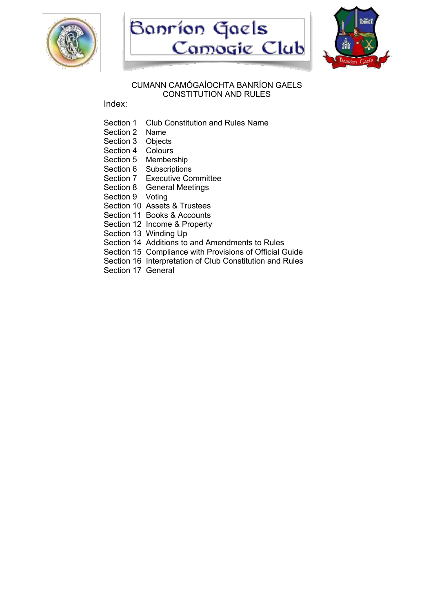





#### CUMANN CAMÓGAÍOCHTA BANRÍON GAELS CONSTITUTION AND RULES

Index:

- Section 1 Club Constitution and Rules Name
- Section 2 Name
- Section 3 Objects
- Section 4 Colours
- Section 5 Membership
- Section 6 Subscriptions
- Section 7 Executive Committee
- Section 8 General Meetings
- Section 9 Voting
- Section 10 Assets & Trustees
- Section 11 Books & Accounts
- Section 12 Income & Property
- Section 13 Winding Up
- Section 14 Additions to and Amendments to Rules
- Section 15 Compliance with Provisions of Official Guide
- Section 16 Interpretation of Club Constitution and Rules
- Section 17 General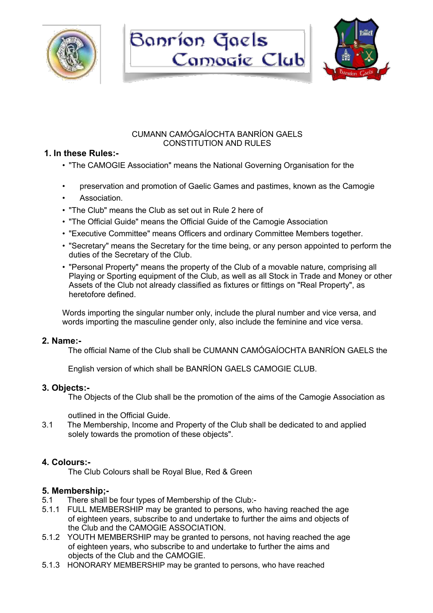





## CUMANN CAMÓGAÍOCHTA BANRÍON GAELS CONSTITUTION AND RULES

## **1. In these Rules:-**

- "The CAMOGIE Association" means the National Governing Organisation for the
- preservation and promotion of Gaelic Games and pastimes, known as the Camogie
- Association.
- "The Club" means the Club as set out in Rule 2 here of
- "The Official Guide" means the Official Guide of the Camogie Association
- "Executive Committee" means Officers and ordinary Committee Members together.
- "Secretary" means the Secretary for the time being, or any person appointed to perform the duties of the Secretary of the Club.
- "Personal Property" means the property of the Club of a movable nature, comprising all Playing or Sporting equipment of the Club, as well as all Stock in Trade and Money or other Assets of the Club not already classified as fixtures or fittings on "Real Property", as heretofore defined.

Words importing the singular number only, include the plural number and vice versa, and words importing the masculine gender only, also include the feminine and vice versa.

## **2. Name:-**

The official Name of the Club shall be CUMANN CAMÓGAÍOCHTA BANRÍON GAELS the

English version of which shall be BANRÍON GAELS CAMOGIE CLUB.

## **3. Objects:-**

The Objects of the Club shall be the promotion of the aims of the Camogie Association as

outlined in the Official Guide.

3.1 The Membership, Income and Property of the Club shall be dedicated to and applied solely towards the promotion of these objects".

## **4. Colours:-**

The Club Colours shall be Royal Blue, Red & Green

## **5. Membership;-**

- 5.1 There shall be four types of Membership of the Club:-
- 5.1.1 FULL MEMBERSHIP may be granted to persons, who having reached the age of eighteen years, subscribe to and undertake to further the aims and objects of the Club and the CAMOGIE ASSOCIATION.
- 5.1.2 YOUTH MEMBERSHIP may be granted to persons, not having reached the age of eighteen years, who subscribe to and undertake to further the aims and objects of the Club and the CAMOGIE.
- 5.1.3 HONORARY MEMBERSHIP may be granted to persons, who have reached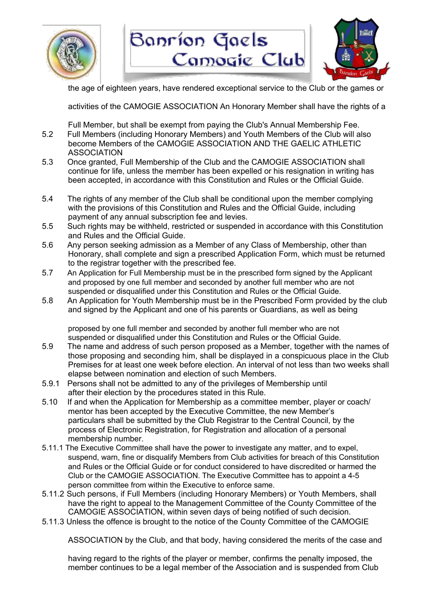



the age of eighteen years, have rendered exceptional service to the Club or the games or

activities of the CAMOGIE ASSOCIATION An Honorary Member shall have the rights of a

Full Member, but shall be exempt from paying the Club's Annual Membership Fee.

- 5.2 Full Members (including Honorary Members) and Youth Members of the Club will also become Members of the CAMOGIE ASSOCIATION AND THE GAELIC ATHLETIC ASSOCIATION
- 5.3 Once granted, Full Membership of the Club and the CAMOGIE ASSOCIATION shall continue for life, unless the member has been expelled or his resignation in writing has been accepted, in accordance with this Constitution and Rules or the Official Guide.
- 5.4 The rights of any member of the Club shall be conditional upon the member complying with the provisions of this Constitution and Rules and the Official Guide, including payment of any annual subscription fee and levies.
- 5.5 Such rights may be withheld, restricted or suspended in accordance with this Constitution and Rules and the Official Guide.
- 5.6 Any person seeking admission as a Member of any Class of Membership, other than Honorary, shall complete and sign a prescribed Application Form, which must be returned to the registrar together with the prescribed fee.
- 5.7 An Application for Full Membership must be in the prescribed form signed by the Applicant and proposed by one full member and seconded by another full member who are not suspended or disqualified under this Constitution and Rules or the Official Guide.
- 5.8 An Application for Youth Membership must be in the Prescribed Form provided by the club and signed by the Applicant and one of his parents or Guardians, as well as being

proposed by one full member and seconded by another full member who are not suspended or disqualified under this Constitution and Rules or the Official Guide.

- 5.9 The name and address of such person proposed as a Member, together with the names of those proposing and seconding him, shall be displayed in a conspicuous place in the Club Premises for at least one week before election. An interval of not less than two weeks shall elapse between nomination and election of such Members.
- 5.9.1 Persons shall not be admitted to any of the privileges of Membership until after their election by the procedures stated in this Rule.
- 5.10 If and when the Application for Membership as a committee member, player or coach/ mentor has been accepted by the Executive Committee, the new Member's particulars shall be submitted by the Club Registrar to the Central Council, by the process of Electronic Registration, for Registration and allocation of a personal membership number.
- 5.11.1 The Executive Committee shall have the power to investigate any matter, and to expel, suspend, warn, fine or disqualify Members from Club activities for breach of this Constitution and Rules or the Official Guide or for conduct considered to have discredited or harmed the Club or the CAMOGIE ASSOCIATION. The Executive Committee has to appoint a 4-5 person committee from within the Executive to enforce same.
- 5.11.2 Such persons, if Full Members (including Honorary Members) or Youth Members, shall have the right to appeal to the Management Committee of the County Committee of the CAMOGIE ASSOCIATION, within seven days of being notified of such decision.
- 5.11.3 Unless the offence is brought to the notice of the County Committee of the CAMOGIE

ASSOCIATION by the Club, and that body, having considered the merits of the case and

having regard to the rights of the player or member, confirms the penalty imposed, the member continues to be a legal member of the Association and is suspended from Club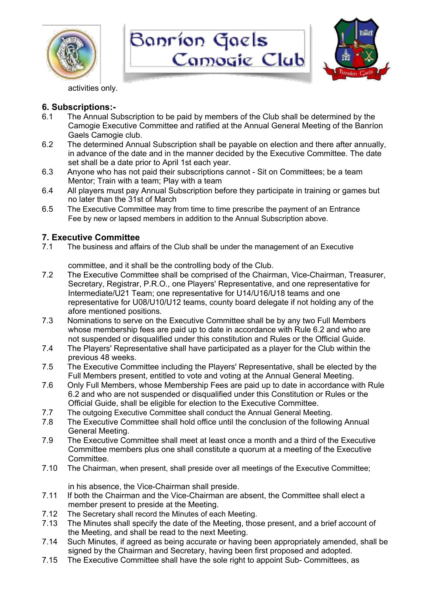





activities only.

# **6. Subscriptions:-**

- 6.1 The Annual Subscription to be paid by members of the Club shall be determined by the Camogie Executive Committee and ratified at the Annual General Meeting of the Banríon Gaels Camogie club.
- 6.2 The determined Annual Subscription shall be payable on election and there after annually, in advance of the date and in the manner decided by the Executive Committee. The date set shall be a date prior to April 1st each year.
- 6.3 Anyone who has not paid their subscriptions cannot Sit on Committees; be a team Mentor; Train with a team; Play with a team
- 6.4 All players must pay Annual Subscription before they participate in training or games but no later than the 31st of March
- 6.5 The Executive Committee may from time to time prescribe the payment of an Entrance Fee by new or lapsed members in addition to the Annual Subscription above.

# **7. Executive Committee**

7.1 The business and affairs of the Club shall be under the management of an Executive

committee, and it shall be the controlling body of the Club.

- 7.2 The Executive Committee shall be comprised of the Chairman, Vice-Chairman, Treasurer, Secretary, Registrar, P.R.O., one Players' Representative, and one representative for Intermediate/U21 Team; one representative for U14/U16/U18 teams and one representative for U08/U10/U12 teams, county board delegate if not holding any of the afore mentioned positions.
- 7.3 Nominations to serve on the Executive Committee shall be by any two Full Members whose membership fees are paid up to date in accordance with Rule 6.2 and who are not suspended or disqualified under this constitution and Rules or the Official Guide.
- 7.4 The Players' Representative shall have participated as a player for the Club within the previous 48 weeks.
- 7.5 The Executive Committee including the Players' Representative, shall be elected by the Full Members present, entitled to vote and voting at the Annual General Meeting.
- 7.6 Only Full Members, whose Membership Fees are paid up to date in accordance with Rule 6.2 and who are not suspended or disqualified under this Constitution or Rules or the Official Guide, shall be eligible for election to the Executive Committee.
- 7.7 The outgoing Executive Committee shall conduct the Annual General Meeting.
- 7.8 The Executive Committee shall hold office until the conclusion of the following Annual General Meeting.
- 7.9 The Executive Committee shall meet at least once a month and a third of the Executive Committee members plus one shall constitute a quorum at a meeting of the Executive Committee.
- 7.10 The Chairman, when present, shall preside over all meetings of the Executive Committee;

in his absence, the Vice-Chairman shall preside.

- 7.11 If both the Chairman and the Vice-Chairman are absent, the Committee shall elect a member present to preside at the Meeting.
- 7.12 The Secretary shall record the Minutes of each Meeting.
- 7.13 The Minutes shall specify the date of the Meeting, those present, and a brief account of the Meeting, and shall be read to the next Meeting.
- 7.14 Such Minutes, if agreed as being accurate or having been appropriately amended, shall be signed by the Chairman and Secretary, having been first proposed and adopted.
- 7.15 The Executive Committee shall have the sole right to appoint Sub- Committees, as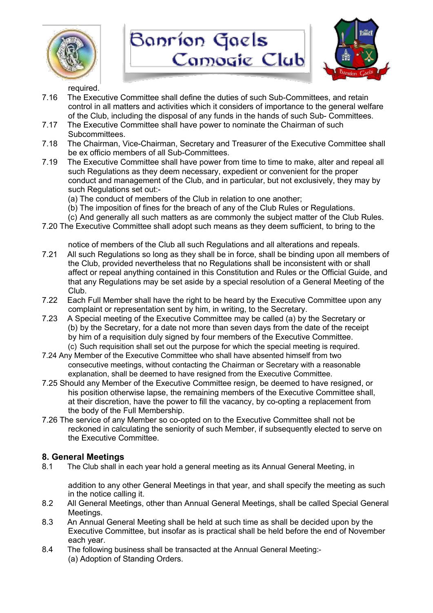





required.

- 7.16 The Executive Committee shall define the duties of such Sub-Committees, and retain control in all matters and activities which it considers of importance to the general welfare of the Club, including the disposal of any funds in the hands of such Sub- Committees.
- 7.17 The Executive Committee shall have power to nominate the Chairman of such Subcommittees.
- 7.18 The Chairman, Vice-Chairman, Secretary and Treasurer of the Executive Committee shall be ex officio members of all Sub-Committees.
- 7.19 The Executive Committee shall have power from time to time to make, alter and repeal all such Regulations as they deem necessary, expedient or convenient for the proper conduct and management of the Club, and in particular, but not exclusively, they may by such Regulations set out:-
	- (a) The conduct of members of the Club in relation to one another;
	- (b) The imposition of fines for the breach of any of the Club Rules or Regulations.
	- (c) And generally all such matters as are commonly the subject matter of the Club Rules.
- 7.20 The Executive Committee shall adopt such means as they deem sufficient, to bring to the

notice of members of the Club all such Regulations and all alterations and repeals.

- 7.21 All such Regulations so long as they shall be in force, shall be binding upon all members of the Club, provided nevertheless that no Regulations shall be inconsistent with or shall affect or repeal anything contained in this Constitution and Rules or the Official Guide, and that any Regulations may be set aside by a special resolution of a General Meeting of the Club.
- 7.22 Each Full Member shall have the right to be heard by the Executive Committee upon any complaint or representation sent by him, in writing, to the Secretary.
- 7.23 A Special meeting of the Executive Committee may be called (a) by the Secretary or (b) by the Secretary, for a date not more than seven days from the date of the receipt by him of a requisition duly signed by four members of the Executive Committee. (c) Such requisition shall set out the purpose for which the special meeting is required.
- 7.24 Any Member of the Executive Committee who shall have absented himself from two consecutive meetings, without contacting the Chairman or Secretary with a reasonable explanation, shall be deemed to have resigned from the Executive Committee.
- 7.25 Should any Member of the Executive Committee resign, be deemed to have resigned, or his position otherwise lapse, the remaining members of the Executive Committee shall, at their discretion, have the power to fill the vacancy, by co-opting a replacement from the body of the Full Membership.
- 7.26 The service of any Member so co-opted on to the Executive Committee shall not be reckoned in calculating the seniority of such Member, if subsequently elected to serve on the Executive Committee.

## **8. General Meetings**

8.1 The Club shall in each year hold a general meeting as its Annual General Meeting, in

addition to any other General Meetings in that year, and shall specify the meeting as such in the notice calling it.

- 8.2 All General Meetings, other than Annual General Meetings, shall be called Special General Meetings.
- 8.3 An Annual General Meeting shall be held at such time as shall be decided upon by the Executive Committee, but insofar as is practical shall be held before the end of November each year.
- 8.4 The following business shall be transacted at the Annual General Meeting:- (a) Adoption of Standing Orders.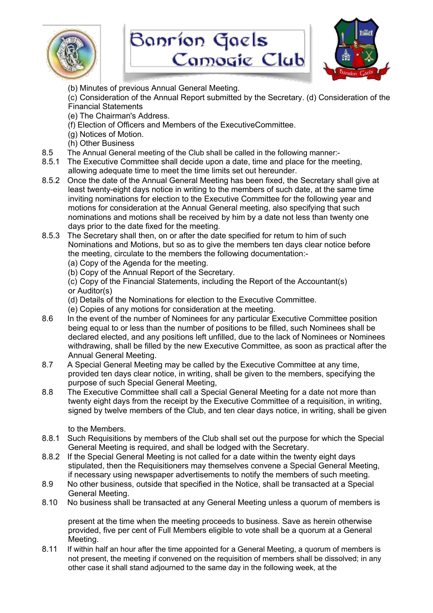





(b) Minutes of previous Annual General Meeting.

(c) Consideration of the Annual Report submitted by the Secretary. (d) Consideration of the Financial Statements

- (e) The Chairman's Address.
- (f) Election of Officers and Members of the ExecutiveCommittee.
- (g) Notices of Motion.
- (h) Other Business
- 8.5 The Annual General meeting of the Club shall be called in the following manner:-
- 8.5.1 The Executive Committee shall decide upon a date, time and place for the meeting, allowing adequate time to meet the time limits set out hereunder.
- 8.5.2 Once the date of the Annual General Meeting has been fixed, the Secretary shall give at least twenty-eight days notice in writing to the members of such date, at the same time inviting nominations for election to the Executive Committee for the following year and motions for consideration at the Annual General meeting, also specifying that such nominations and motions shall be received by him by a date not less than twenty one days prior to the date fixed for the meeting.
- 8.5.3 The Secretary shall then, on or after the date specified for retum to him of such Nominations and Motions, but so as to give the members ten days clear notice before the meeting, circulate to the members the following documentation:-
	- (a) Copy of the Agenda for the meeting.
	- (b) Copy of the Annual Report of the Secretary.
	- (c) Copy of the Financial Statements, including the Report of the Accountant(s) or Auditor(s)
	- (d) Details of the Nominations for election to the Executive Committee.
	- (e) Copies of any motions for consideration at the meeting.
- 8.6 In the event of the number of Nominees for any particular Executive Committee position being equal to or less than the number of positions to be filled, such Nominees shall be declared elected, and any positions left unfilled, due to the lack of Nominees or Nominees withdrawing, shall be filled by the new Executive Committee, as soon as practical after the Annual General Meeting.
- 8.7 A Special General Meeting may be called by the Executive Committee at any time, provided ten days clear notice, in writing, shall be given to the members, specifying the purpose of such Special General Meeting,
- 8.8 The Executive Committee shall call a Special General Meeting for a date not more than twenty eight days from the receipt by the Executive Committee of a requisition, in writing, signed by twelve members of the Club, and ten clear days notice, in writing, shall be given

to the Members.

- 8.8.1 Such Requisitions by members of the Club shall set out the purpose for which the Special General Meeting is required, and shall be lodged with the Secretary.
- 8.8.2 If the Special General Meeting is not called for a date within the twenty eight days stipulated, then the Requisitioners may themselves convene a Special General Meeting, if necessary using newspaper advertisements to notify the members of such meeting.
- 8.9 No other business, outside that specified in the Notice, shall be transacted at a Special General Meeting.
- 8.10 No business shall be transacted at any General Meeting unless a quorum of members is

present at the time when the meeting proceeds to business. Save as herein otherwise provided, five per cent of Full Members eligible to vote shall be a quorum at a General Meeting.

8.11 If within half an hour after the time appointed for a General Meeting, a quorum of members is not present, the meeting if convened on the requisition of members shall be dissolved; in any other case it shall stand adjourned to the same day in the following week, at the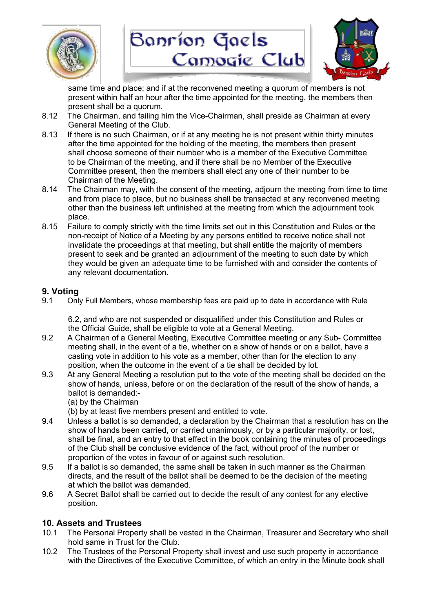





same time and place; and if at the reconvened meeting a quorum of members is not present within half an hour after the time appointed for the meeting, the members then present shall be a quorum.

- 8.12 The Chairman, and failing him the Vice-Chairman, shall preside as Chairman at every General Meeting of the Club.
- 8.13 If there is no such Chairman, or if at any meeting he is not present within thirty minutes after the time appointed for the holding of the meeting, the members then present shall choose someone of their number who is a member of the Executive Committee to be Chairman of the meeting, and if there shall be no Member of the Executive Committee present, then the members shall elect any one of their number to be Chairman of the Meeting.
- 8.14 The Chairman may, with the consent of the meeting, adjourn the meeting from time to time and from place to place, but no business shall be transacted at any reconvened meeting other than the business left unfinished at the meeting from which the adjournment took place.
- 8.15 Failure to comply strictly with the time limits set out in this Constitution and Rules or the non-receipt of Notice of a Meeting by any persons entitled to receive notice shall not invalidate the proceedings at that meeting, but shall entitle the majority of members present to seek and be granted an adjournment of the meeting to such date by which they would be given an adequate time to be furnished with and consider the contents of any relevant documentation.

## **9. Voting**

9.1 Only Full Members, whose membership fees are paid up to date in accordance with Rule

6.2, and who are not suspended or disqualified under this Constitution and Rules or the Official Guide, shall be eligible to vote at a General Meeting.

- 9.2 A Chairman of a General Meeting, Executive Committee meeting or any Sub- Committee meeting shall, in the event of a tie, whether on a show of hands or on a ballot, have a casting vote in addition to his vote as a member, other than for the election to any position, when the outcome in the event of a tie shall be decided by lot.
- 9.3 At any General Meeting a resolution put to the vote of the meeting shall be decided on the show of hands, unless, before or on the declaration of the result of the show of hands, a ballot is demanded:-
	- (a) by the Chairman

(b) by at least five members present and entitled to vote.

- 9.4 Unless a ballot is so demanded, a declaration by the Chairman that a resolution has on the show of hands been carried, or carried unanimously, or by a particular majority, or lost, shall be final, and an entry to that effect in the book containing the minutes of proceedings of the Club shall be conclusive evidence of the fact, without proof of the number or proportion of the votes in favour of or against such resolution.
- 9.5 If a ballot is so demanded, the same shall be taken in such manner as the Chairman directs, and the result of the ballot shall be deemed to be the decision of the meeting at which the ballot was demanded.
- 9.6 A Secret Ballot shall be carried out to decide the result of any contest for any elective position.

## **10. Assets and Trustees**

- 10.1 The Personal Property shall be vested in the Chairman, Treasurer and Secretary who shall hold same in Trust for the Club.
- 10.2 The Trustees of the Personal Property shall invest and use such property in accordance with the Directives of the Executive Committee, of which an entry in the Minute book shall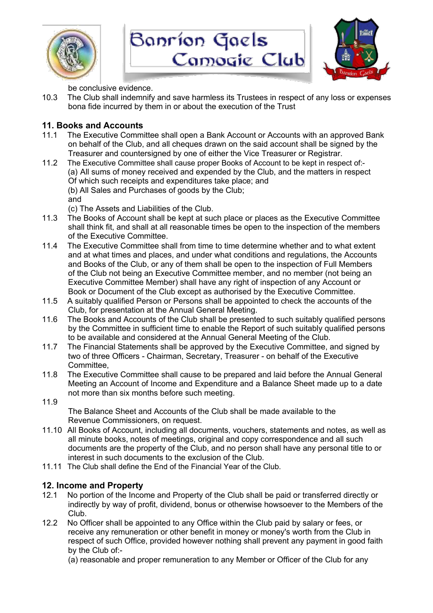





be conclusive evidence.

10.3 The Club shall indemnify and save harmless its Trustees in respect of any loss or expenses bona fide incurred by them in or about the execution of the Trust

# **11. Books and Accounts**

- 11.1 The Executive Committee shall open a Bank Account or Accounts with an approved Bank on behalf of the Club, and all cheques drawn on the said account shall be signed by the Treasurer and countersigned by one of either the Vice Treasurer or Registrar.
- 11.2 The Executive Committee shall cause proper Books of Account to be kept in respect of:- (a) All sums of money received and expended by the Club, and the matters in respect Of which such receipts and expenditures take place; and (b) All Sales and Purchases of goods by the Club; and

(c) The Assets and Liabilities of the Club.

- 11.3 The Books of Account shall be kept at such place or places as the Executive Committee shall think fit, and shall at all reasonable times be open to the inspection of the members of the Executive Committee.
- 11.4 The Executive Committee shall from time to time determine whether and to what extent and at what times and places, and under what conditions and regulations, the Accounts and Books of the Club, or any of them shall be open to the inspection of Full Members of the Club not being an Executive Committee member, and no member (not being an Executive Committee Member) shall have any right of inspection of any Account or Book or Document of the Club except as authorised by the Executive Committee.
- 11.5 A suitably qualified Person or Persons shall be appointed to check the accounts of the Club, for presentation at the Annual General Meeting.
- 11.6 The Books and Accounts of the Club shall be presented to such suitably qualified persons by the Committee in sufficient time to enable the Report of such suitably qualified persons to be available and considered at the Annual General Meeting of the Club.
- 11.7 The Financial Statements shall be approved by the Executive Committee, and signed by two of three Officers - Chairman, Secretary, Treasurer - on behalf of the Executive Committee,
- 11.8 The Executive Committee shall cause to be prepared and laid before the Annual General Meeting an Account of Income and Expenditure and a Balance Sheet made up to a date not more than six months before such meeting.
- 11.9

The Balance Sheet and Accounts of the Club shall be made available to the Revenue Commissioners, on request.

- 11.10 All Books of Account, including all documents, vouchers, statements and notes, as well as all minute books, notes of meetings, original and copy correspondence and all such documents are the property of the Club, and no person shall have any personal title to or interest in such documents to the exclusion of the Club.
- 11.11 The Club shall define the End of the Financial Year of the Club.

## **12. Income and Property**

- 12.1 No portion of the Income and Property of the Club shall be paid or transferred directly or indirectly by way of profit, dividend, bonus or otherwise howsoever to the Members of the Club.
- 12.2 No Officer shall be appointed to any Office within the Club paid by salary or fees, or receive any remuneration or other benefit in money or money's worth from the Club in respect of such Office, provided however nothing shall prevent any payment in good faith by the Club of:-
	- (a) reasonable and proper remuneration to any Member or Officer of the Club for any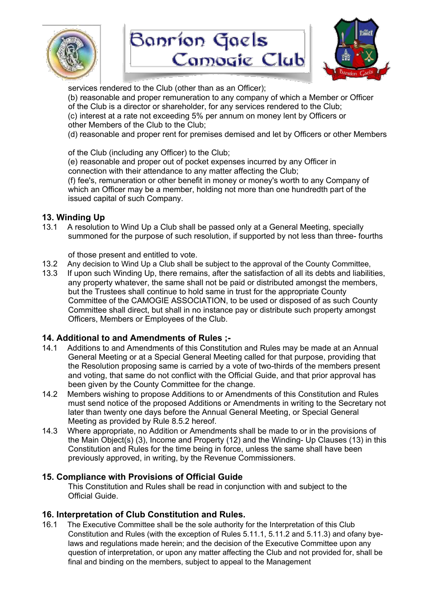





services rendered to the Club (other than as an Officer);

(b) reasonable and proper remuneration to any company of which a Member or Officer of the Club is a director or shareholder, for any services rendered to the Club; (c) interest at a rate not exceeding 5% per annum on money lent by Officers or

other Members of the Club to the Club;

(d) reasonable and proper rent for premises demised and let by Officers or other Members

of the Club (including any Officer) to the Club;

(e) reasonable and proper out of pocket expenses incurred by any Officer in connection with their attendance to any matter affecting the Club;

(f) fee's, remuneration or other benefit in money or money's worth to any Company of which an Officer may be a member, holding not more than one hundredth part of the issued capital of such Company.

## **13. Winding Up**

13.1 A resolution to Wind Up a Club shall be passed only at a General Meeting, specially summoned for the purpose of such resolution, if supported by not less than three- fourths

## of those present and entitled to vote.

- 13.2 Any decision to Wind Up a Club shall be subject to the approval of the County Committee,
- 13.3 If upon such Winding Up, there remains, after the satisfaction of all its debts and liabilities, any property whatever, the same shall not be paid or distributed amongst the members, but the Trustees shall continue to hold same in trust for the appropriate County Committee of the CAMOGIE ASSOCIATION, to be used or disposed of as such County Committee shall direct, but shall in no instance pay or distribute such property amongst Officers, Members or Employees of the Club.

## **14. Additional to and Amendments of Rules ;-**

- 14.1 Additions to and Amendments of this Constitution and Rules may be made at an Annual General Meeting or at a Special General Meeting called for that purpose, providing that the Resolution proposing same is carried by a vote of two-thirds of the members present and voting, that same do not conflict with the Official Guide, and that prior approval has been given by the County Committee for the change.
- 14.2 Members wishing to propose Additions to or Amendments of this Constitution and Rules must send notice of the proposed Additions or Amendments in writing to the Secretary not later than twenty one days before the Annual General Meeting, or Special General Meeting as provided by Rule 8.5.2 hereof.
- 14.3 Where appropriate, no Addition or Amendments shall be made to or in the provisions of the Main Object(s) (3), Income and Property (12) and the Winding- Up Clauses (13) in this Constitution and Rules for the time being in force, unless the same shall have been previously approved, in writing, by the Revenue Commissioners.

## **15. Compliance with Provisions of Official Guide**

This Constitution and Rules shall be read in conjunction with and subject to the Official Guide.

## **16. Interpretation of Club Constitution and Rules.**

16.1 The Executive Committee shall be the sole authority for the Interpretation of this Club Constitution and Rules (with the exception of Rules 5.11.1, 5.11.2 and 5.11.3) and ofany byelaws and regulations made herein; and the decision of the Executive Committee upon any question of interpretation, or upon any matter affecting the Club and not provided for, shall be final and binding on the members, subject to appeal to the Management